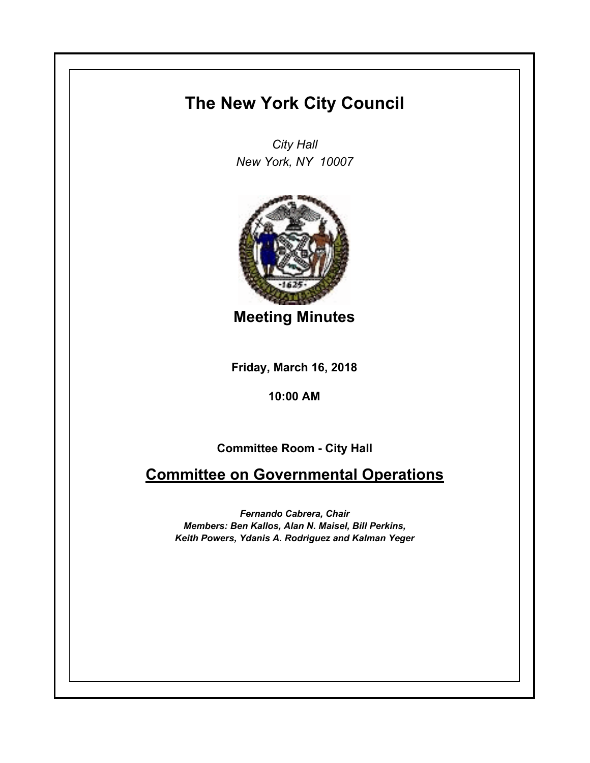## **The New York City Council**

*City Hall New York, NY 10007*



**Meeting Minutes**

**Friday, March 16, 2018**

**10:00 AM**

**Committee Room - City Hall**

**Committee on Governmental Operations**

*Fernando Cabrera, Chair Members: Ben Kallos, Alan N. Maisel, Bill Perkins, Keith Powers, Ydanis A. Rodriguez and Kalman Yeger*